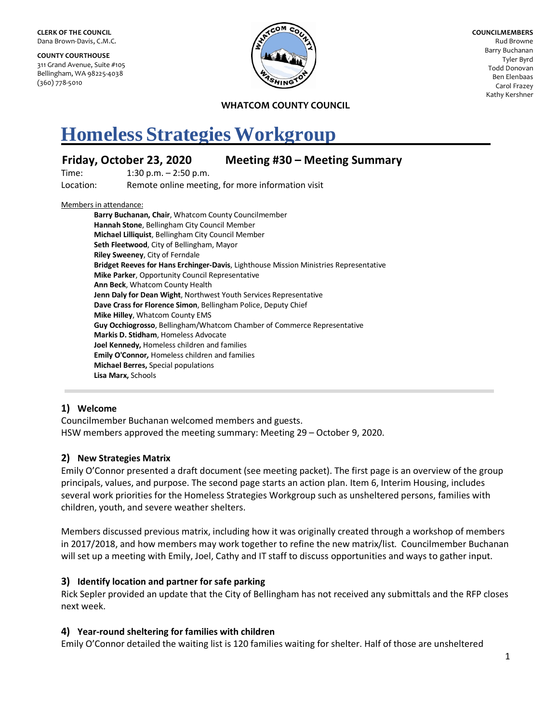**COUNTY COURTHOUSE** 311 Grand Avenue, Suite #105 Bellingham, WA 98225-4038 (360) 778-5010



**COUNCILMEMBERS** Rud Browne Barry Buchanan Tyler Byrd Todd Donovan Ben Elenbaas Carol Frazey Kathy Kershner

**WHATCOM COUNTY COUNCIL**

# **Homeless Strategies Workgroup**

# **Friday, October 23, 2020 Meeting #30 – Meeting Summary**

Time: 1:30 p.m. – 2:50 p.m. Location: Remote online meeting, for more information visit

#### Members in attendance:

**Barry Buchanan, Chair**, Whatcom County Councilmember **Hannah Stone**, Bellingham City Council Member **Michael Lilliquist**, Bellingham City Council Member **Seth Fleetwood**, City of Bellingham, Mayor **Riley Sweeney**, City of Ferndale **Bridget Reeves for Hans Erchinger-Davis**, Lighthouse Mission Ministries Representative **Mike Parker**, Opportunity Council Representative **Ann Beck**, Whatcom County Health **Jenn Daly for Dean Wight**, Northwest Youth Services Representative **Dave Crass for Florence Simon**, Bellingham Police, Deputy Chief **Mike Hilley**, Whatcom County EMS **Guy Occhiogrosso**, Bellingham/Whatcom Chamber of Commerce Representative **Markis D. Stidham**, Homeless Advocate **Joel Kennedy,** Homeless children and families **Emily O'Connor***,* Homeless children and families **Michael Berres,** Special populations **Lisa Marx,** Schools

## **1) Welcome**

Councilmember Buchanan welcomed members and guests. HSW members approved the meeting summary: Meeting 29 – October 9, 2020.

## **2) New Strategies Matrix**

Emily O'Connor presented a draft document (see meeting packet). The first page is an overview of the group principals, values, and purpose. The second page starts an action plan. Item 6, Interim Housing, includes several work priorities for the Homeless Strategies Workgroup such as unsheltered persons, families with children, youth, and severe weather shelters.

Members discussed previous matrix, including how it was originally created through a workshop of members in 2017/2018, and how members may work together to refine the new matrix/list. Councilmember Buchanan will set up a meeting with Emily, Joel, Cathy and IT staff to discuss opportunities and ways to gather input.

## **3) Identify location and partner for safe parking**

Rick Sepler provided an update that the City of Bellingham has not received any submittals and the RFP closes next week.

## **4) Year-round sheltering for families with children**

Emily O'Connor detailed the waiting list is 120 families waiting for shelter. Half of those are unsheltered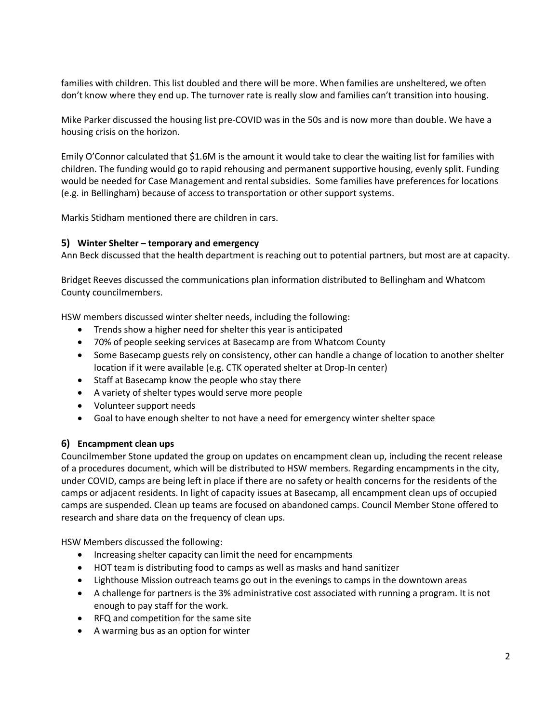families with children. This list doubled and there will be more. When families are unsheltered, we often don't know where they end up. The turnover rate is really slow and families can't transition into housing.

Mike Parker discussed the housing list pre-COVID was in the 50s and is now more than double. We have a housing crisis on the horizon.

Emily O'Connor calculated that \$1.6M is the amount it would take to clear the waiting list for families with children. The funding would go to rapid rehousing and permanent supportive housing, evenly split. Funding would be needed for Case Management and rental subsidies. Some families have preferences for locations (e.g. in Bellingham) because of access to transportation or other support systems.

Markis Stidham mentioned there are children in cars.

## **5) Winter Shelter – temporary and emergency**

Ann Beck discussed that the health department is reaching out to potential partners, but most are at capacity.

Bridget Reeves discussed the communications plan information distributed to Bellingham and Whatcom County councilmembers.

HSW members discussed winter shelter needs, including the following:

- Trends show a higher need for shelter this year is anticipated
- 70% of people seeking services at Basecamp are from Whatcom County
- Some Basecamp guests rely on consistency, other can handle a change of location to another shelter location if it were available (e.g. CTK operated shelter at Drop-In center)
- Staff at Basecamp know the people who stay there
- A variety of shelter types would serve more people
- Volunteer support needs
- Goal to have enough shelter to not have a need for emergency winter shelter space

#### **6) Encampment clean ups**

Councilmember Stone updated the group on updates on encampment clean up, including the recent release of a procedures document, which will be distributed to HSW members. Regarding encampments in the city, under COVID, camps are being left in place if there are no safety or health concerns for the residents of the camps or adjacent residents. In light of capacity issues at Basecamp, all encampment clean ups of occupied camps are suspended. Clean up teams are focused on abandoned camps. Council Member Stone offered to research and share data on the frequency of clean ups.

HSW Members discussed the following:

- Increasing shelter capacity can limit the need for encampments
- HOT team is distributing food to camps as well as masks and hand sanitizer
- Lighthouse Mission outreach teams go out in the evenings to camps in the downtown areas
- A challenge for partners is the 3% administrative cost associated with running a program. It is not enough to pay staff for the work.
- RFQ and competition for the same site
- A warming bus as an option for winter